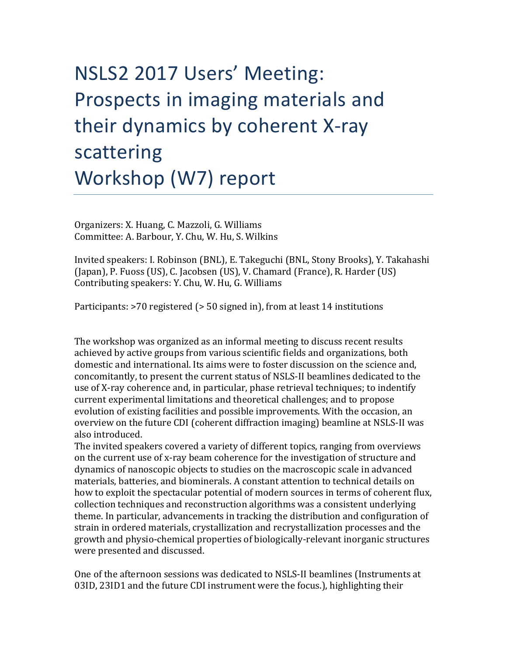## NSLS2 2017 Users' Meeting: Prospects in imaging materials and their dynamics by coherent X-ray scattering Workshop (W7) report

Organizers: X. Huang, C. Mazzoli, G. Williams Committee: A. Barbour, Y. Chu, W. Hu, S. Wilkins

Invited speakers: I. Robinson (BNL), E. Takeguchi (BNL, Stony Brooks), Y. Takahashi (Japan), P. Fuoss (US), C. Jacobsen (US), V. Chamard (France), R. Harder (US) Contributing speakers: Y. Chu, W. Hu, G. Williams

Participants:  $>70$  registered ( $>50$  signed in), from at least 14 institutions

The workshop was organized as an informal meeting to discuss recent results achieved by active groups from various scientific fields and organizations, both domestic and international. Its aims were to foster discussion on the science and, concomitantly, to present the current status of NSLS-II beamlines dedicated to the use of X-ray coherence and, in particular, phase retrieval techniques; to indentify current experimental limitations and theoretical challenges; and to propose evolution of existing facilities and possible improvements. With the occasion, an overview on the future CDI (coherent diffraction imaging) beamline at NSLS-II was also introduced.

The invited speakers covered a variety of different topics, ranging from overviews on the current use of x-ray beam coherence for the investigation of structure and dynamics of nanoscopic objects to studies on the macroscopic scale in advanced materials, batteries, and biominerals. A constant attention to technical details on how to exploit the spectacular potential of modern sources in terms of coherent flux, collection techniques and reconstruction algorithms was a consistent underlying theme. In particular, advancements in tracking the distribution and configuration of strain in ordered materials, crystallization and recrystallization processes and the growth and physio-chemical properties of biologically-relevant inorganic structures were presented and discussed.

One of the afternoon sessions was dedicated to NSLS-II beamlines (Instruments at 03ID, 23ID1 and the future CDI instrument were the focus.), highlighting their